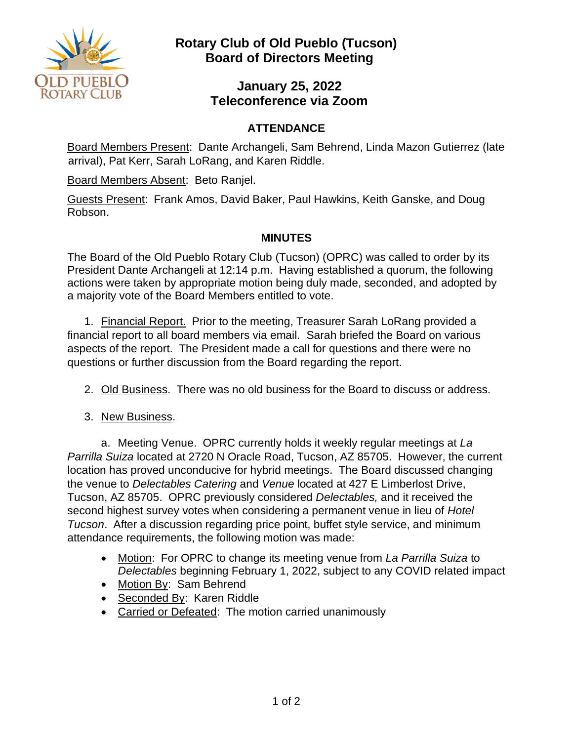

# **Rotary Club of Old Pueblo (Tucson) Board of Directors Meeting**

### **January 25, 2022 Teleconference via Zoom**

### **ATTENDANCE**

Board Members Present: Dante Archangeli, Sam Behrend, Linda Mazon Gutierrez (late arrival), Pat Kerr, Sarah LoRang, and Karen Riddle.

Board Members Absent: Beto Ranjel.

Guests Present: Frank Amos, David Baker, Paul Hawkins, Keith Ganske, and Doug Robson.

#### **MINUTES**

The Board of the Old Pueblo Rotary Club (Tucson) (OPRC) was called to order by its President Dante Archangeli at 12:14 p.m. Having established a quorum, the following actions were taken by appropriate motion being duly made, seconded, and adopted by a majority vote of the Board Members entitled to vote.

1. Financial Report. Prior to the meeting, Treasurer Sarah LoRang provided a financial report to all board members via email. Sarah briefed the Board on various aspects of the report. The President made a call for questions and there were no questions or further discussion from the Board regarding the report.

- 2. Old Business. There was no old business for the Board to discuss or address.
- 3. New Business.

a. Meeting Venue. OPRC currently holds it weekly regular meetings at *La Parrilla Suiza* located at 2720 N Oracle Road, Tucson, AZ 85705. However, the current location has proved unconducive for hybrid meetings. The Board discussed changing the venue to *Delectables Catering* and *Venue* located at 427 E Limberlost Drive, Tucson, AZ 85705. OPRC previously considered *Delectables,* and it received the second highest survey votes when considering a permanent venue in lieu of *Hotel Tucson*. After a discussion regarding price point, buffet style service, and minimum attendance requirements, the following motion was made:

- Motion: For OPRC to change its meeting venue from *La Parrilla Suiza* to *Delectables* beginning February 1, 2022, subject to any COVID related impact
- Motion By: Sam Behrend
- Seconded By: Karen Riddle
- Carried or Defeated: The motion carried unanimously